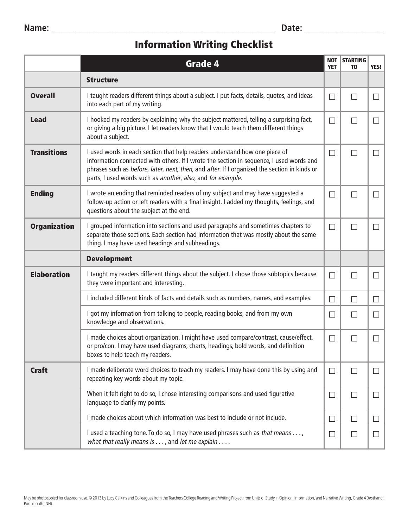## Information Writing Checklist

|                     | <b>Grade 4</b>                                                                                                                                                                                                                                                                                                                       | <b>NOT</b><br><b>YET</b> | <b>STARTING</b><br>T <sub>0</sub> | YES!   |
|---------------------|--------------------------------------------------------------------------------------------------------------------------------------------------------------------------------------------------------------------------------------------------------------------------------------------------------------------------------------|--------------------------|-----------------------------------|--------|
|                     | <b>Structure</b>                                                                                                                                                                                                                                                                                                                     |                          |                                   |        |
| <b>Overall</b>      | I taught readers different things about a subject. I put facts, details, quotes, and ideas<br>into each part of my writing.                                                                                                                                                                                                          | $\Box$                   | П                                 | $\Box$ |
| <b>Lead</b>         | I hooked my readers by explaining why the subject mattered, telling a surprising fact,<br>or giving a big picture. I let readers know that I would teach them different things<br>about a subject.                                                                                                                                   | $\Box$                   | П                                 | $\Box$ |
| <b>Transitions</b>  | I used words in each section that help readers understand how one piece of<br>information connected with others. If I wrote the section in sequence, I used words and<br>phrases such as before, later, next, then, and after. If I organized the section in kinds or<br>parts, I used words such as another, also, and for example. | $\Box$                   | $\Box$                            | $\Box$ |
| <b>Ending</b>       | I wrote an ending that reminded readers of my subject and may have suggested a<br>follow-up action or left readers with a final insight. I added my thoughts, feelings, and<br>questions about the subject at the end.                                                                                                               | $\Box$                   | П                                 | $\Box$ |
| <b>Organization</b> | I grouped information into sections and used paragraphs and sometimes chapters to<br>separate those sections. Each section had information that was mostly about the same<br>thing. I may have used headings and subheadings.                                                                                                        | $\Box$                   | П                                 | $\Box$ |
|                     | <b>Development</b>                                                                                                                                                                                                                                                                                                                   |                          |                                   |        |
| <b>Elaboration</b>  | I taught my readers different things about the subject. I chose those subtopics because<br>they were important and interesting.                                                                                                                                                                                                      | $\Box$                   | $\Box$                            | $\Box$ |
|                     | I included different kinds of facts and details such as numbers, names, and examples.                                                                                                                                                                                                                                                | $\Box$                   | П                                 | $\Box$ |
|                     | I got my information from talking to people, reading books, and from my own<br>knowledge and observations.                                                                                                                                                                                                                           | $\Box$                   | $\Box$                            | $\Box$ |
|                     | I made choices about organization. I might have used compare/contrast, cause/effect,<br>or pro/con. I may have used diagrams, charts, headings, bold words, and definition<br>boxes to help teach my readers.                                                                                                                        | $\Box$                   | $\mathsf{L}$                      | $\Box$ |
| <b>Craft</b>        | I made deliberate word choices to teach my readers. I may have done this by using and<br>repeating key words about my topic.                                                                                                                                                                                                         | $\Box$                   | $\Box$                            | $\Box$ |
|                     | When it felt right to do so, I chose interesting comparisons and used figurative<br>language to clarify my points.                                                                                                                                                                                                                   | $\Box$                   | $\Box$                            | $\Box$ |
|                     | I made choices about which information was best to include or not include.                                                                                                                                                                                                                                                           | $\Box$                   | $\Box$                            | $\Box$ |
|                     | I used a teaching tone. To do so, I may have used phrases such as that means ,<br>what that really means is $\dots$ , and let me explain $\dots$ .                                                                                                                                                                                   | $\Box$                   | $\Box$                            | $\Box$ |